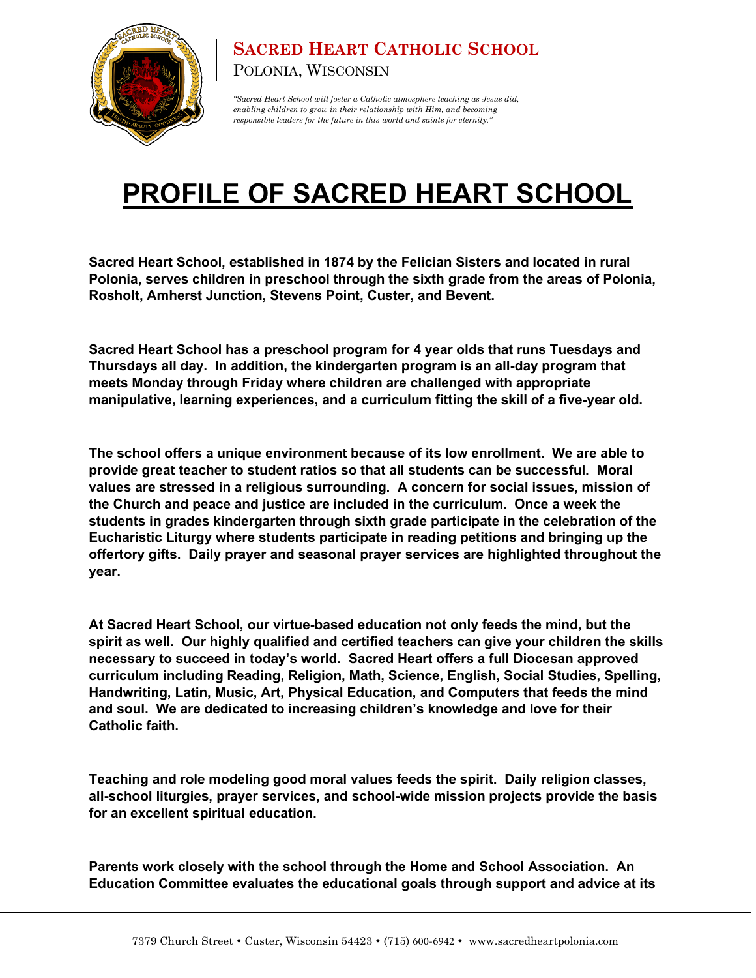

## **SACRED HEART CATHOLIC SCHOOL** POLONIA, WISCONSIN

*"Sacred Heart School will foster a Catholic atmosphere teaching as Jesus did, enabling children to grow in their relationship with Him, and becoming responsible leaders for the future in this world and saints for eternity."*

## **PROFILE OF SACRED HEART SCHOOL**

**Sacred Heart School, established in 1874 by the Felician Sisters and located in rural Polonia, serves children in preschool through the sixth grade from the areas of Polonia, Rosholt, Amherst Junction, Stevens Point, Custer, and Bevent.** 

**Sacred Heart School has a preschool program for 4 year olds that runs Tuesdays and Thursdays all day. In addition, the kindergarten program is an all-day program that meets Monday through Friday where children are challenged with appropriate manipulative, learning experiences, and a curriculum fitting the skill of a five-year old.**

**The school offers a unique environment because of its low enrollment. We are able to provide great teacher to student ratios so that all students can be successful. Moral values are stressed in a religious surrounding. A concern for social issues, mission of the Church and peace and justice are included in the curriculum. Once a week the students in grades kindergarten through sixth grade participate in the celebration of the Eucharistic Liturgy where students participate in reading petitions and bringing up the offertory gifts. Daily prayer and seasonal prayer services are highlighted throughout the year.**

**At Sacred Heart School, our virtue-based education not only feeds the mind, but the spirit as well. Our highly qualified and certified teachers can give your children the skills necessary to succeed in today's world. Sacred Heart offers a full Diocesan approved curriculum including Reading, Religion, Math, Science, English, Social Studies, Spelling, Handwriting, Latin, Music, Art, Physical Education, and Computers that feeds the mind and soul. We are dedicated to increasing children's knowledge and love for their Catholic faith.**

**Teaching and role modeling good moral values feeds the spirit. Daily religion classes, all-school liturgies, prayer services, and school-wide mission projects provide the basis for an excellent spiritual education.** 

**Parents work closely with the school through the Home and School Association. An Education Committee evaluates the educational goals through support and advice at its**